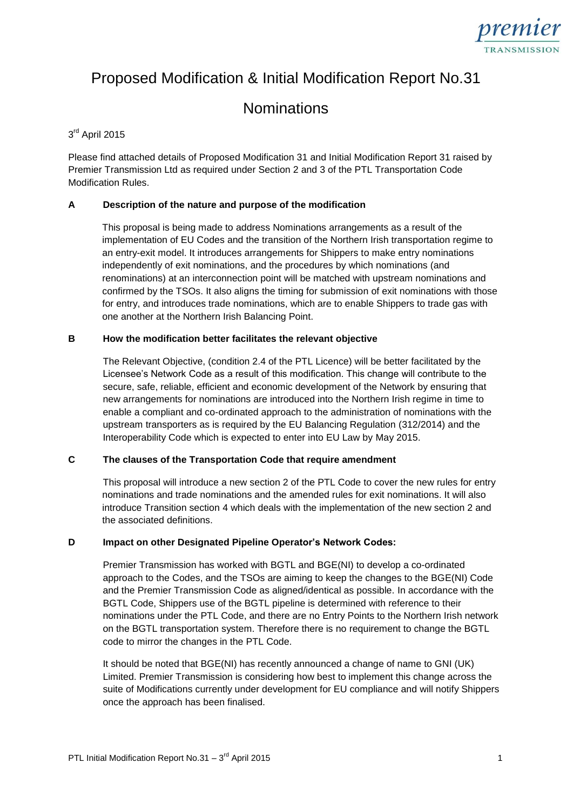

# Proposed Modification & Initial Modification Report No.31

# **Nominations**

# 3<sup>rd</sup> April 2015

Please find attached details of Proposed Modification 31 and Initial Modification Report 31 raised by Premier Transmission Ltd as required under Section 2 and 3 of the PTL Transportation Code Modification Rules.

# **A Description of the nature and purpose of the modification**

This proposal is being made to address Nominations arrangements as a result of the implementation of EU Codes and the transition of the Northern Irish transportation regime to an entry-exit model. It introduces arrangements for Shippers to make entry nominations independently of exit nominations, and the procedures by which nominations (and renominations) at an interconnection point will be matched with upstream nominations and confirmed by the TSOs. It also aligns the timing for submission of exit nominations with those for entry, and introduces trade nominations, which are to enable Shippers to trade gas with one another at the Northern Irish Balancing Point.

#### **B How the modification better facilitates the relevant objective**

The Relevant Objective, (condition 2.4 of the PTL Licence) will be better facilitated by the Licensee's Network Code as a result of this modification. This change will contribute to the secure, safe, reliable, efficient and economic development of the Network by ensuring that new arrangements for nominations are introduced into the Northern Irish regime in time to enable a compliant and co-ordinated approach to the administration of nominations with the upstream transporters as is required by the EU Balancing Regulation (312/2014) and the Interoperability Code which is expected to enter into EU Law by May 2015.

#### **C The clauses of the Transportation Code that require amendment**

This proposal will introduce a new section 2 of the PTL Code to cover the new rules for entry nominations and trade nominations and the amended rules for exit nominations. It will also introduce Transition section 4 which deals with the implementation of the new section 2 and the associated definitions.

#### **D Impact on other Designated Pipeline Operator's Network Codes:**

Premier Transmission has worked with BGTL and BGE(NI) to develop a co-ordinated approach to the Codes, and the TSOs are aiming to keep the changes to the BGE(NI) Code and the Premier Transmission Code as aligned/identical as possible. In accordance with the BGTL Code, Shippers use of the BGTL pipeline is determined with reference to their nominations under the PTL Code, and there are no Entry Points to the Northern Irish network on the BGTL transportation system. Therefore there is no requirement to change the BGTL code to mirror the changes in the PTL Code.

It should be noted that BGE(NI) has recently announced a change of name to GNI (UK) Limited. Premier Transmission is considering how best to implement this change across the suite of Modifications currently under development for EU compliance and will notify Shippers once the approach has been finalised.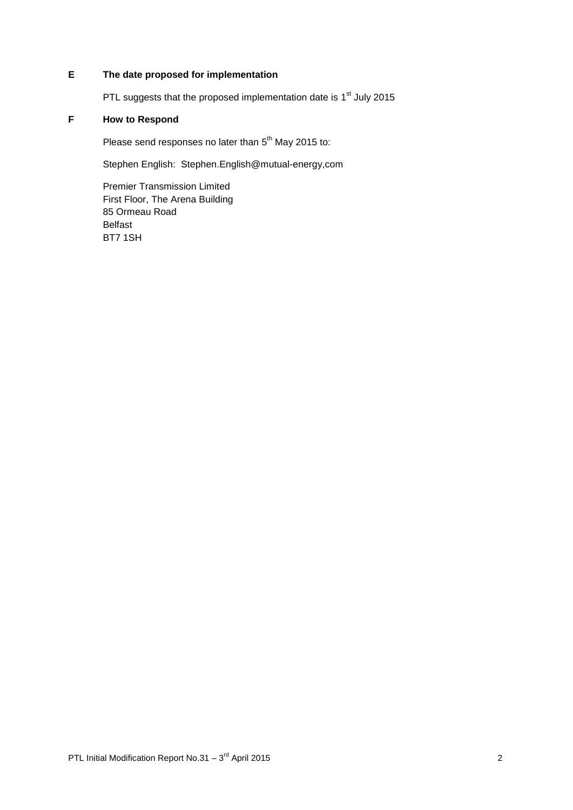# **E The date proposed for implementation**

PTL suggests that the proposed implementation date is 1<sup>st</sup> July 2015

# **F How to Respond**

Please send responses no later than 5<sup>th</sup> May 2015 to:

Stephen English: Stephen.English@mutual-energy,com

Premier Transmission Limited First Floor, The Arena Building 85 Ormeau Road Belfast BT7 1SH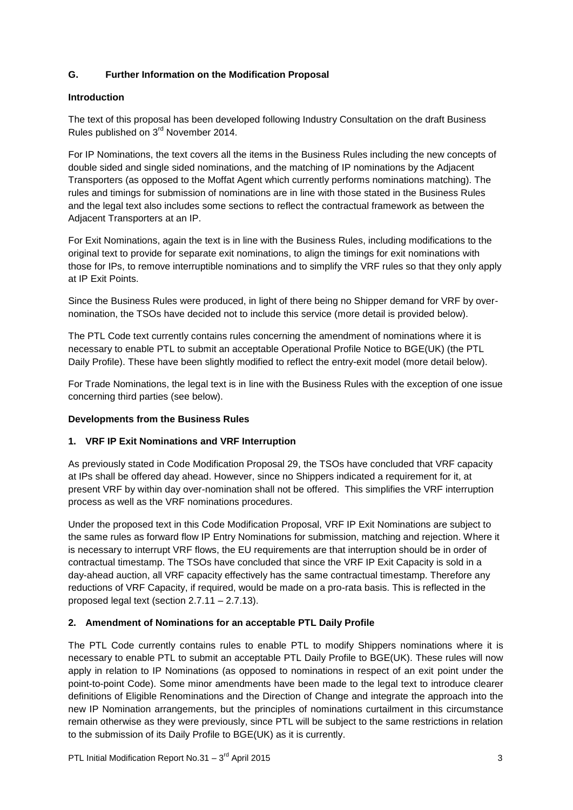# **G. Further Information on the Modification Proposal**

# **Introduction**

The text of this proposal has been developed following Industry Consultation on the draft Business Rules published on 3rd November 2014.

For IP Nominations, the text covers all the items in the Business Rules including the new concepts of double sided and single sided nominations, and the matching of IP nominations by the Adjacent Transporters (as opposed to the Moffat Agent which currently performs nominations matching). The rules and timings for submission of nominations are in line with those stated in the Business Rules and the legal text also includes some sections to reflect the contractual framework as between the Adjacent Transporters at an IP.

For Exit Nominations, again the text is in line with the Business Rules, including modifications to the original text to provide for separate exit nominations, to align the timings for exit nominations with those for IPs, to remove interruptible nominations and to simplify the VRF rules so that they only apply at IP Exit Points.

Since the Business Rules were produced, in light of there being no Shipper demand for VRF by overnomination, the TSOs have decided not to include this service (more detail is provided below).

The PTL Code text currently contains rules concerning the amendment of nominations where it is necessary to enable PTL to submit an acceptable Operational Profile Notice to BGE(UK) (the PTL Daily Profile). These have been slightly modified to reflect the entry-exit model (more detail below).

For Trade Nominations, the legal text is in line with the Business Rules with the exception of one issue concerning third parties (see below).

# **Developments from the Business Rules**

# **1. VRF IP Exit Nominations and VRF Interruption**

As previously stated in Code Modification Proposal 29, the TSOs have concluded that VRF capacity at IPs shall be offered day ahead. However, since no Shippers indicated a requirement for it, at present VRF by within day over-nomination shall not be offered. This simplifies the VRF interruption process as well as the VRF nominations procedures.

Under the proposed text in this Code Modification Proposal, VRF IP Exit Nominations are subject to the same rules as forward flow IP Entry Nominations for submission, matching and rejection. Where it is necessary to interrupt VRF flows, the EU requirements are that interruption should be in order of contractual timestamp. The TSOs have concluded that since the VRF IP Exit Capacity is sold in a day-ahead auction, all VRF capacity effectively has the same contractual timestamp. Therefore any reductions of VRF Capacity, if required, would be made on a pro-rata basis. This is reflected in the proposed legal text (section 2.7.11 – 2.7.13).

# **2. Amendment of Nominations for an acceptable PTL Daily Profile**

The PTL Code currently contains rules to enable PTL to modify Shippers nominations where it is necessary to enable PTL to submit an acceptable PTL Daily Profile to BGE(UK). These rules will now apply in relation to IP Nominations (as opposed to nominations in respect of an exit point under the point-to-point Code). Some minor amendments have been made to the legal text to introduce clearer definitions of Eligible Renominations and the Direction of Change and integrate the approach into the new IP Nomination arrangements, but the principles of nominations curtailment in this circumstance remain otherwise as they were previously, since PTL will be subject to the same restrictions in relation to the submission of its Daily Profile to BGE(UK) as it is currently.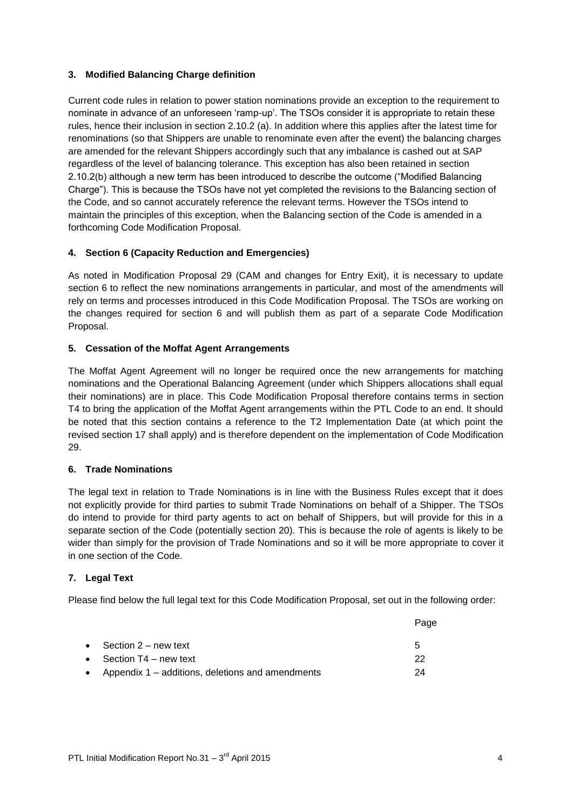# **3. Modified Balancing Charge definition**

Current code rules in relation to power station nominations provide an exception to the requirement to nominate in advance of an unforeseen 'ramp-up'. The TSOs consider it is appropriate to retain these rules, hence their inclusion in section 2.10.2 (a). In addition where this applies after the latest time for renominations (so that Shippers are unable to renominate even after the event) the balancing charges are amended for the relevant Shippers accordingly such that any imbalance is cashed out at SAP regardless of the level of balancing tolerance. This exception has also been retained in section 2.10.2(b) although a new term has been introduced to describe the outcome ("Modified Balancing Charge"). This is because the TSOs have not yet completed the revisions to the Balancing section of the Code, and so cannot accurately reference the relevant terms. However the TSOs intend to maintain the principles of this exception, when the Balancing section of the Code is amended in a forthcoming Code Modification Proposal.

# **4. Section 6 (Capacity Reduction and Emergencies)**

As noted in Modification Proposal 29 (CAM and changes for Entry Exit), it is necessary to update section 6 to reflect the new nominations arrangements in particular, and most of the amendments will rely on terms and processes introduced in this Code Modification Proposal. The TSOs are working on the changes required for section 6 and will publish them as part of a separate Code Modification Proposal.

# **5. Cessation of the Moffat Agent Arrangements**

The Moffat Agent Agreement will no longer be required once the new arrangements for matching nominations and the Operational Balancing Agreement (under which Shippers allocations shall equal their nominations) are in place. This Code Modification Proposal therefore contains terms in section T4 to bring the application of the Moffat Agent arrangements within the PTL Code to an end. It should be noted that this section contains a reference to the T2 Implementation Date (at which point the revised section 17 shall apply) and is therefore dependent on the implementation of Code Modification 29.

#### **6. Trade Nominations**

The legal text in relation to Trade Nominations is in line with the Business Rules except that it does not explicitly provide for third parties to submit Trade Nominations on behalf of a Shipper. The TSOs do intend to provide for third party agents to act on behalf of Shippers, but will provide for this in a separate section of the Code (potentially section 20). This is because the role of agents is likely to be wider than simply for the provision of Trade Nominations and so it will be more appropriate to cover it in one section of the Code.

#### **7. Legal Text**

Please find below the full legal text for this Code Modification Proposal, set out in the following order:

|                                                      | Page |
|------------------------------------------------------|------|
| • Section $2 - new text$                             | 5    |
| • Section $T4$ – new text                            | つつ   |
| • Appendix $1$ – additions, deletions and amendments | 24   |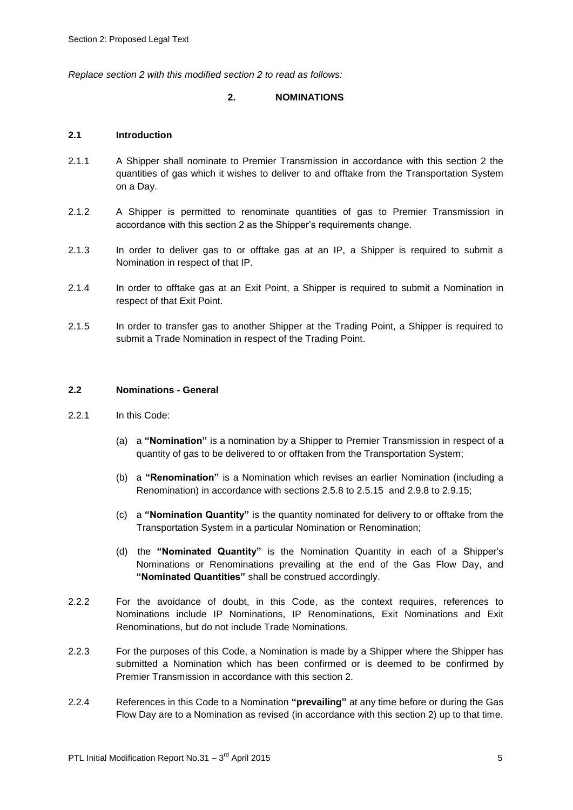*Replace section 2 with this modified section 2 to read as follows:*

#### **2. NOMINATIONS**

#### **2.1 Introduction**

- 2.1.1 A Shipper shall nominate to Premier Transmission in accordance with this section 2 the quantities of gas which it wishes to deliver to and offtake from the Transportation System on a Day.
- 2.1.2 A Shipper is permitted to renominate quantities of gas to Premier Transmission in accordance with this section 2 as the Shipper's requirements change.
- 2.1.3 In order to deliver gas to or offtake gas at an IP, a Shipper is required to submit a Nomination in respect of that IP.
- 2.1.4 In order to offtake gas at an Exit Point, a Shipper is required to submit a Nomination in respect of that Exit Point.
- 2.1.5 In order to transfer gas to another Shipper at the Trading Point, a Shipper is required to submit a Trade Nomination in respect of the Trading Point.

#### **2.2 Nominations - General**

- 2.2.1 In this Code:
	- (a) a **"Nomination"** is a nomination by a Shipper to Premier Transmission in respect of a quantity of gas to be delivered to or offtaken from the Transportation System;
	- (b) a **"Renomination"** is a Nomination which revises an earlier Nomination (including a Renomination) in accordance with sections 2.5.8 to 2.5.15 and 2.9.8 to 2.9.15;
	- (c) a **"Nomination Quantity"** is the quantity nominated for delivery to or offtake from the Transportation System in a particular Nomination or Renomination;
	- (d) the **"Nominated Quantity"** is the Nomination Quantity in each of a Shipper's Nominations or Renominations prevailing at the end of the Gas Flow Day, and **"Nominated Quantities"** shall be construed accordingly.
- 2.2.2 For the avoidance of doubt, in this Code, as the context requires, references to Nominations include IP Nominations, IP Renominations, Exit Nominations and Exit Renominations, but do not include Trade Nominations.
- 2.2.3 For the purposes of this Code, a Nomination is made by a Shipper where the Shipper has submitted a Nomination which has been confirmed or is deemed to be confirmed by Premier Transmission in accordance with this section 2.
- 2.2.4 References in this Code to a Nomination **"prevailing"** at any time before or during the Gas Flow Day are to a Nomination as revised (in accordance with this section 2) up to that time.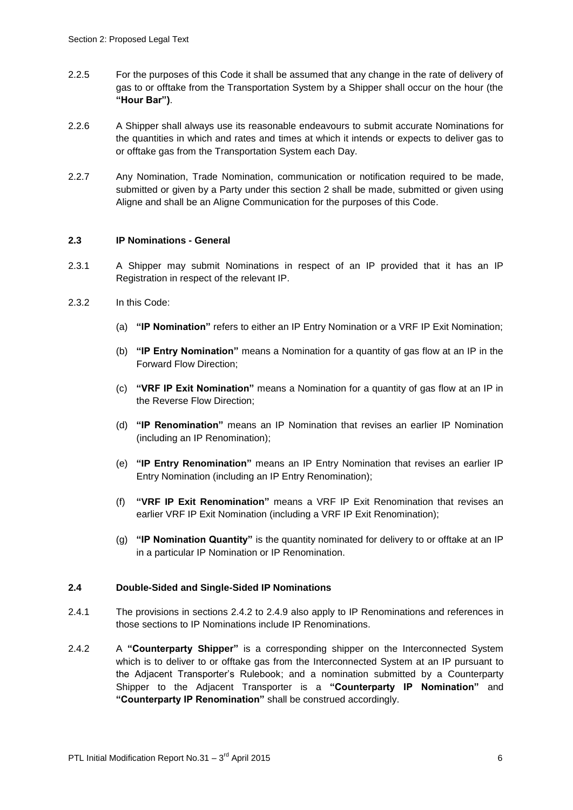- 2.2.5 For the purposes of this Code it shall be assumed that any change in the rate of delivery of gas to or offtake from the Transportation System by a Shipper shall occur on the hour (the **"Hour Bar")**.
- 2.2.6 A Shipper shall always use its reasonable endeavours to submit accurate Nominations for the quantities in which and rates and times at which it intends or expects to deliver gas to or offtake gas from the Transportation System each Day.
- 2.2.7 Any Nomination, Trade Nomination, communication or notification required to be made, submitted or given by a Party under this section 2 shall be made, submitted or given using Aligne and shall be an Aligne Communication for the purposes of this Code.

#### **2.3 IP Nominations - General**

- 2.3.1 A Shipper may submit Nominations in respect of an IP provided that it has an IP Registration in respect of the relevant IP.
- 2.3.2 In this Code:
	- (a) **"IP Nomination"** refers to either an IP Entry Nomination or a VRF IP Exit Nomination;
	- (b) **"IP Entry Nomination"** means a Nomination for a quantity of gas flow at an IP in the Forward Flow Direction;
	- (c) **"VRF IP Exit Nomination"** means a Nomination for a quantity of gas flow at an IP in the Reverse Flow Direction;
	- (d) **"IP Renomination"** means an IP Nomination that revises an earlier IP Nomination (including an IP Renomination);
	- (e) **"IP Entry Renomination"** means an IP Entry Nomination that revises an earlier IP Entry Nomination (including an IP Entry Renomination);
	- (f) **"VRF IP Exit Renomination"** means a VRF IP Exit Renomination that revises an earlier VRF IP Exit Nomination (including a VRF IP Exit Renomination);
	- (g) **"IP Nomination Quantity"** is the quantity nominated for delivery to or offtake at an IP in a particular IP Nomination or IP Renomination.

#### **2.4 Double-Sided and Single-Sided IP Nominations**

- 2.4.1 The provisions in sections 2.4.2 to 2.4.9 also apply to IP Renominations and references in those sections to IP Nominations include IP Renominations.
- 2.4.2 A **"Counterparty Shipper"** is a corresponding shipper on the Interconnected System which is to deliver to or offtake gas from the Interconnected System at an IP pursuant to the Adjacent Transporter's Rulebook; and a nomination submitted by a Counterparty Shipper to the Adjacent Transporter is a **"Counterparty IP Nomination"** and **"Counterparty IP Renomination"** shall be construed accordingly.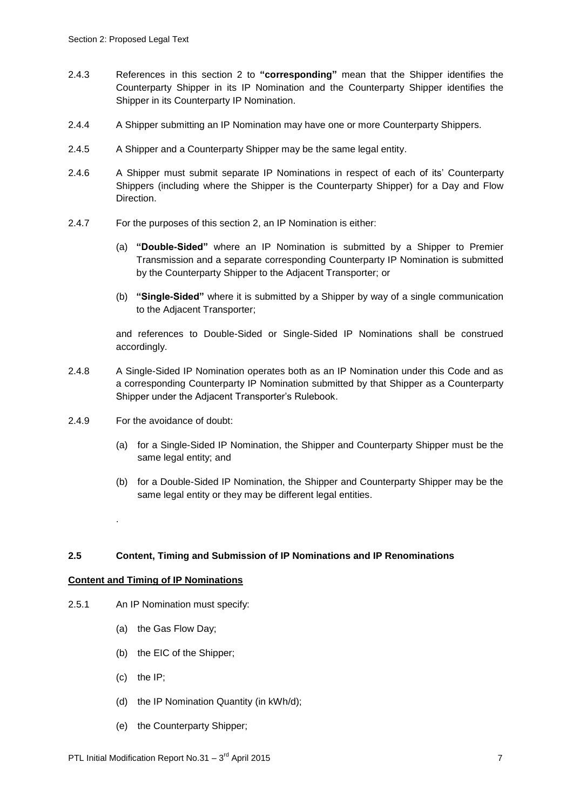- 2.4.3 References in this section 2 to **"corresponding"** mean that the Shipper identifies the Counterparty Shipper in its IP Nomination and the Counterparty Shipper identifies the Shipper in its Counterparty IP Nomination.
- 2.4.4 A Shipper submitting an IP Nomination may have one or more Counterparty Shippers.
- 2.4.5 A Shipper and a Counterparty Shipper may be the same legal entity.
- 2.4.6 A Shipper must submit separate IP Nominations in respect of each of its' Counterparty Shippers (including where the Shipper is the Counterparty Shipper) for a Day and Flow Direction.
- 2.4.7 For the purposes of this section 2, an IP Nomination is either:
	- (a) **"Double-Sided"** where an IP Nomination is submitted by a Shipper to Premier Transmission and a separate corresponding Counterparty IP Nomination is submitted by the Counterparty Shipper to the Adjacent Transporter; or
	- (b) **"Single-Sided"** where it is submitted by a Shipper by way of a single communication to the Adjacent Transporter;

and references to Double-Sided or Single-Sided IP Nominations shall be construed accordingly.

- 2.4.8 A Single-Sided IP Nomination operates both as an IP Nomination under this Code and as a corresponding Counterparty IP Nomination submitted by that Shipper as a Counterparty Shipper under the Adjacent Transporter's Rulebook.
- 2.4.9 For the avoidance of doubt:
	- (a) for a Single-Sided IP Nomination, the Shipper and Counterparty Shipper must be the same legal entity; and
	- (b) for a Double-Sided IP Nomination, the Shipper and Counterparty Shipper may be the same legal entity or they may be different legal entities.

#### **2.5 Content, Timing and Submission of IP Nominations and IP Renominations**

#### **Content and Timing of IP Nominations**

.

- 2.5.1 An IP Nomination must specify:
	- (a) the Gas Flow Day;
	- (b) the EIC of the Shipper;
	- (c) the IP;
	- (d) the IP Nomination Quantity (in kWh/d);
	- (e) the Counterparty Shipper;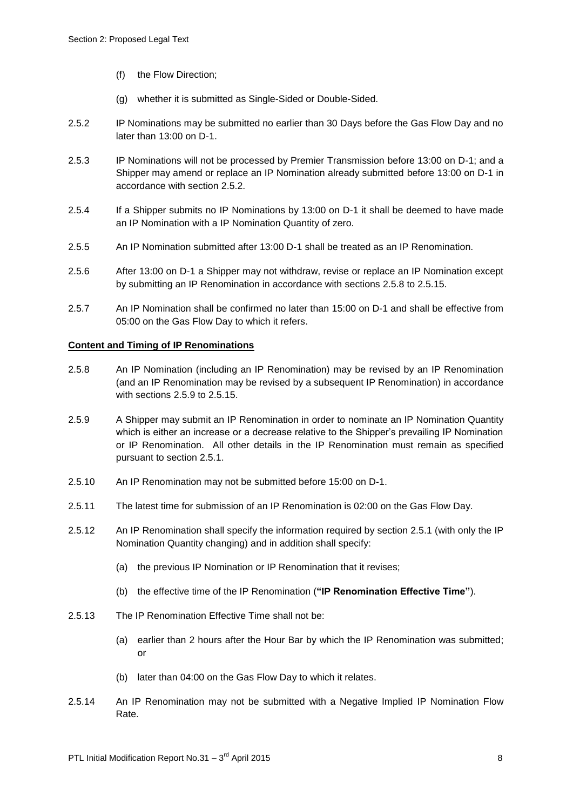- (f) the Flow Direction;
- (g) whether it is submitted as Single-Sided or Double-Sided.
- 2.5.2 IP Nominations may be submitted no earlier than 30 Days before the Gas Flow Day and no later than 13:00 on D-1.
- 2.5.3 IP Nominations will not be processed by Premier Transmission before 13:00 on D-1; and a Shipper may amend or replace an IP Nomination already submitted before 13:00 on D-1 in accordance with section 2.5.2.
- 2.5.4 If a Shipper submits no IP Nominations by 13:00 on D-1 it shall be deemed to have made an IP Nomination with a IP Nomination Quantity of zero.
- 2.5.5 An IP Nomination submitted after 13:00 D-1 shall be treated as an IP Renomination.
- 2.5.6 After 13:00 on D-1 a Shipper may not withdraw, revise or replace an IP Nomination except by submitting an IP Renomination in accordance with sections 2.5.8 to 2.5.15.
- 2.5.7 An IP Nomination shall be confirmed no later than 15:00 on D-1 and shall be effective from 05:00 on the Gas Flow Day to which it refers.

#### **Content and Timing of IP Renominations**

- 2.5.8 An IP Nomination (including an IP Renomination) may be revised by an IP Renomination (and an IP Renomination may be revised by a subsequent IP Renomination) in accordance with sections 2.5.9 to 2.5.15.
- 2.5.9 A Shipper may submit an IP Renomination in order to nominate an IP Nomination Quantity which is either an increase or a decrease relative to the Shipper's prevailing IP Nomination or IP Renomination. All other details in the IP Renomination must remain as specified pursuant to section 2.5.1.
- 2.5.10 An IP Renomination may not be submitted before 15:00 on D-1.
- 2.5.11 The latest time for submission of an IP Renomination is 02:00 on the Gas Flow Day.
- 2.5.12 An IP Renomination shall specify the information required by section 2.5.1 (with only the IP Nomination Quantity changing) and in addition shall specify:
	- (a) the previous IP Nomination or IP Renomination that it revises;
	- (b) the effective time of the IP Renomination (**"IP Renomination Effective Time"**).
- 2.5.13 The IP Renomination Effective Time shall not be:
	- (a) earlier than 2 hours after the Hour Bar by which the IP Renomination was submitted; or
	- (b) later than 04:00 on the Gas Flow Day to which it relates.
- 2.5.14 An IP Renomination may not be submitted with a Negative Implied IP Nomination Flow Rate.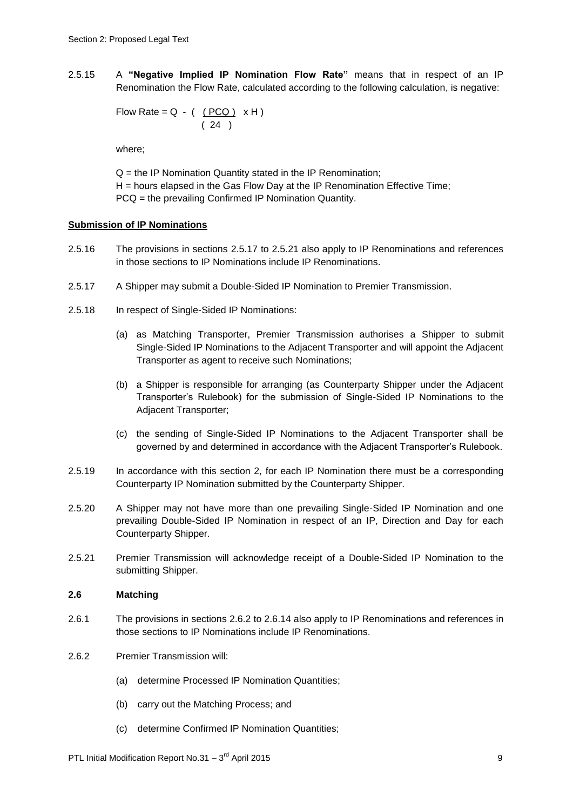2.5.15 A **"Negative Implied IP Nomination Flow Rate"** means that in respect of an IP Renomination the Flow Rate, calculated according to the following calculation, is negative:

Flow Rate = Q - ( 
$$
\underline{(PCQ)}
$$
 x H)   
( 24 )

where;

Q = the IP Nomination Quantity stated in the IP Renomination; H = hours elapsed in the Gas Flow Day at the IP Renomination Effective Time; PCQ = the prevailing Confirmed IP Nomination Quantity.

#### **Submission of IP Nominations**

- 2.5.16 The provisions in sections 2.5.17 to 2.5.21 also apply to IP Renominations and references in those sections to IP Nominations include IP Renominations.
- 2.5.17 A Shipper may submit a Double-Sided IP Nomination to Premier Transmission.
- 2.5.18 In respect of Single-Sided IP Nominations:
	- (a) as Matching Transporter, Premier Transmission authorises a Shipper to submit Single-Sided IP Nominations to the Adjacent Transporter and will appoint the Adjacent Transporter as agent to receive such Nominations;
	- (b) a Shipper is responsible for arranging (as Counterparty Shipper under the Adjacent Transporter's Rulebook) for the submission of Single-Sided IP Nominations to the Adjacent Transporter;
	- (c) the sending of Single-Sided IP Nominations to the Adjacent Transporter shall be governed by and determined in accordance with the Adjacent Transporter's Rulebook.
- 2.5.19 In accordance with this section 2, for each IP Nomination there must be a corresponding Counterparty IP Nomination submitted by the Counterparty Shipper.
- 2.5.20 A Shipper may not have more than one prevailing Single-Sided IP Nomination and one prevailing Double-Sided IP Nomination in respect of an IP, Direction and Day for each Counterparty Shipper.
- 2.5.21 Premier Transmission will acknowledge receipt of a Double-Sided IP Nomination to the submitting Shipper.

#### **2.6 Matching**

- 2.6.1 The provisions in sections 2.6.2 to 2.6.14 also apply to IP Renominations and references in those sections to IP Nominations include IP Renominations.
- 2.6.2 Premier Transmission will:
	- (a) determine Processed IP Nomination Quantities;
	- (b) carry out the Matching Process; and
	- (c) determine Confirmed IP Nomination Quantities;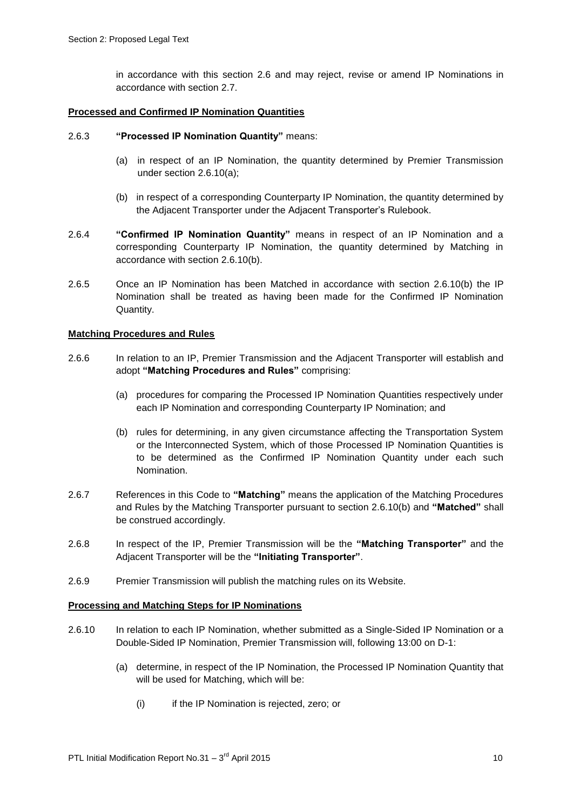in accordance with this section 2.6 and may reject, revise or amend IP Nominations in accordance with section 2.7.

#### **Processed and Confirmed IP Nomination Quantities**

#### 2.6.3 **"Processed IP Nomination Quantity"** means:

- (a) in respect of an IP Nomination, the quantity determined by Premier Transmission under section 2.6.10(a);
- (b) in respect of a corresponding Counterparty IP Nomination, the quantity determined by the Adjacent Transporter under the Adjacent Transporter's Rulebook.
- 2.6.4 **"Confirmed IP Nomination Quantity"** means in respect of an IP Nomination and a corresponding Counterparty IP Nomination, the quantity determined by Matching in accordance with section 2.6.10(b).
- 2.6.5 Once an IP Nomination has been Matched in accordance with section 2.6.10(b) the IP Nomination shall be treated as having been made for the Confirmed IP Nomination Quantity.

#### **Matching Procedures and Rules**

- 2.6.6 In relation to an IP, Premier Transmission and the Adjacent Transporter will establish and adopt **"Matching Procedures and Rules"** comprising:
	- (a) procedures for comparing the Processed IP Nomination Quantities respectively under each IP Nomination and corresponding Counterparty IP Nomination; and
	- (b) rules for determining, in any given circumstance affecting the Transportation System or the Interconnected System, which of those Processed IP Nomination Quantities is to be determined as the Confirmed IP Nomination Quantity under each such Nomination.
- 2.6.7 References in this Code to **"Matching"** means the application of the Matching Procedures and Rules by the Matching Transporter pursuant to section 2.6.10(b) and **"Matched"** shall be construed accordingly.
- 2.6.8 In respect of the IP, Premier Transmission will be the **"Matching Transporter"** and the Adjacent Transporter will be the **"Initiating Transporter"**.
- 2.6.9 Premier Transmission will publish the matching rules on its Website.

#### **Processing and Matching Steps for IP Nominations**

- 2.6.10 In relation to each IP Nomination, whether submitted as a Single-Sided IP Nomination or a Double-Sided IP Nomination, Premier Transmission will, following 13:00 on D-1:
	- (a) determine, in respect of the IP Nomination, the Processed IP Nomination Quantity that will be used for Matching, which will be:
		- (i) if the IP Nomination is rejected, zero; or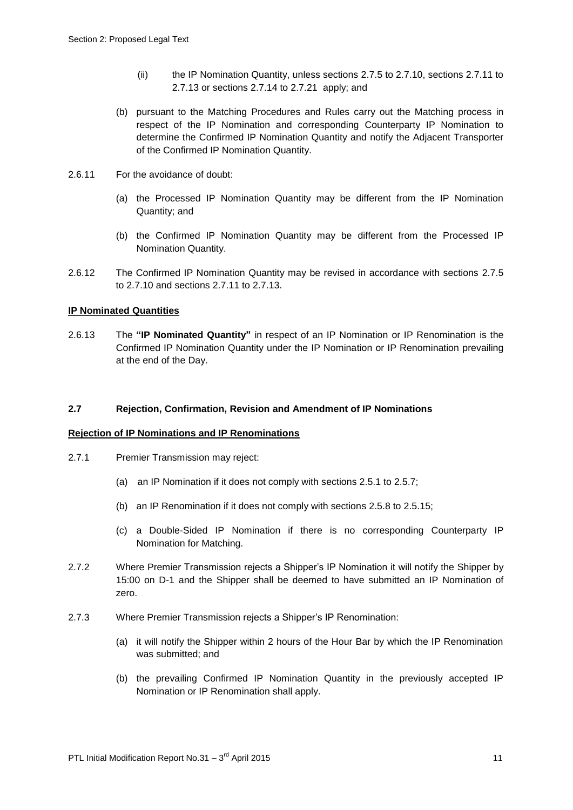- (ii) the IP Nomination Quantity, unless sections 2.7.5 to 2.7.10, sections 2.7.11 to 2.7.13 or sections 2.7.14 to 2.7.21 apply; and
- (b) pursuant to the Matching Procedures and Rules carry out the Matching process in respect of the IP Nomination and corresponding Counterparty IP Nomination to determine the Confirmed IP Nomination Quantity and notify the Adjacent Transporter of the Confirmed IP Nomination Quantity.
- 2.6.11 For the avoidance of doubt:
	- (a) the Processed IP Nomination Quantity may be different from the IP Nomination Quantity; and
	- (b) the Confirmed IP Nomination Quantity may be different from the Processed IP Nomination Quantity.
- 2.6.12 The Confirmed IP Nomination Quantity may be revised in accordance with sections 2.7.5 to 2.7.10 and sections 2.7.11 to 2.7.13.

#### **IP Nominated Quantities**

2.6.13 The **"IP Nominated Quantity"** in respect of an IP Nomination or IP Renomination is the Confirmed IP Nomination Quantity under the IP Nomination or IP Renomination prevailing at the end of the Day.

#### **2.7 Rejection, Confirmation, Revision and Amendment of IP Nominations**

#### **Rejection of IP Nominations and IP Renominations**

- 2.7.1 Premier Transmission may reject:
	- (a) an IP Nomination if it does not comply with sections 2.5.1 to 2.5.7;
	- (b) an IP Renomination if it does not comply with sections 2.5.8 to 2.5.15;
	- (c) a Double-Sided IP Nomination if there is no corresponding Counterparty IP Nomination for Matching.
- 2.7.2 Where Premier Transmission rejects a Shipper's IP Nomination it will notify the Shipper by 15:00 on D-1 and the Shipper shall be deemed to have submitted an IP Nomination of zero.
- 2.7.3 Where Premier Transmission rejects a Shipper's IP Renomination:
	- (a) it will notify the Shipper within 2 hours of the Hour Bar by which the IP Renomination was submitted; and
	- (b) the prevailing Confirmed IP Nomination Quantity in the previously accepted IP Nomination or IP Renomination shall apply.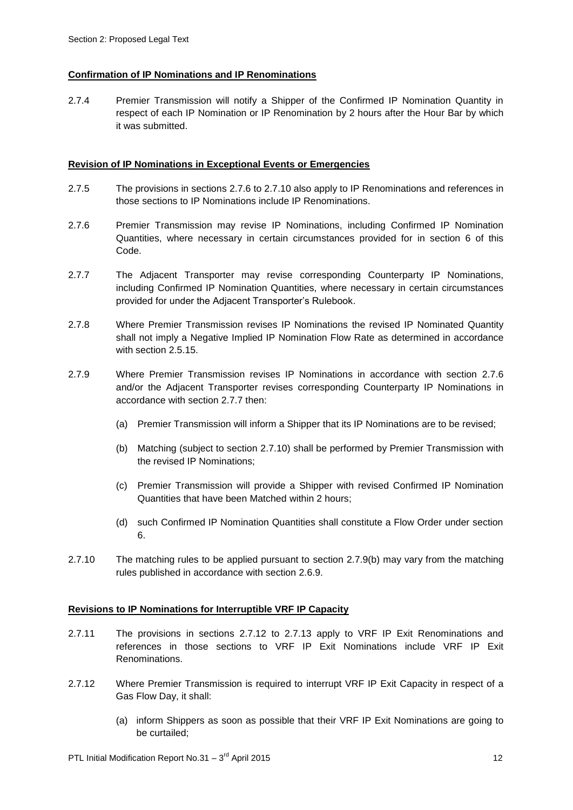#### **Confirmation of IP Nominations and IP Renominations**

2.7.4 Premier Transmission will notify a Shipper of the Confirmed IP Nomination Quantity in respect of each IP Nomination or IP Renomination by 2 hours after the Hour Bar by which it was submitted.

#### **Revision of IP Nominations in Exceptional Events or Emergencies**

- 2.7.5 The provisions in sections 2.7.6 to 2.7.10 also apply to IP Renominations and references in those sections to IP Nominations include IP Renominations.
- 2.7.6 Premier Transmission may revise IP Nominations, including Confirmed IP Nomination Quantities, where necessary in certain circumstances provided for in section 6 of this Code.
- 2.7.7 The Adjacent Transporter may revise corresponding Counterparty IP Nominations, including Confirmed IP Nomination Quantities, where necessary in certain circumstances provided for under the Adjacent Transporter's Rulebook.
- 2.7.8 Where Premier Transmission revises IP Nominations the revised IP Nominated Quantity shall not imply a Negative Implied IP Nomination Flow Rate as determined in accordance with section 2.5.15.
- 2.7.9 Where Premier Transmission revises IP Nominations in accordance with section 2.7.6 and/or the Adjacent Transporter revises corresponding Counterparty IP Nominations in accordance with section 2.7.7 then:
	- (a) Premier Transmission will inform a Shipper that its IP Nominations are to be revised;
	- (b) Matching (subject to section 2.7.10) shall be performed by Premier Transmission with the revised IP Nominations;
	- (c) Premier Transmission will provide a Shipper with revised Confirmed IP Nomination Quantities that have been Matched within 2 hours;
	- (d) such Confirmed IP Nomination Quantities shall constitute a Flow Order under section 6.
- 2.7.10 The matching rules to be applied pursuant to section 2.7.9(b) may vary from the matching rules published in accordance with section 2.6.9.

#### **Revisions to IP Nominations for Interruptible VRF IP Capacity**

- 2.7.11 The provisions in sections 2.7.12 to 2.7.13 apply to VRF IP Exit Renominations and references in those sections to VRF IP Exit Nominations include VRF IP Exit Renominations.
- 2.7.12 Where Premier Transmission is required to interrupt VRF IP Exit Capacity in respect of a Gas Flow Day, it shall:
	- (a) inform Shippers as soon as possible that their VRF IP Exit Nominations are going to be curtailed;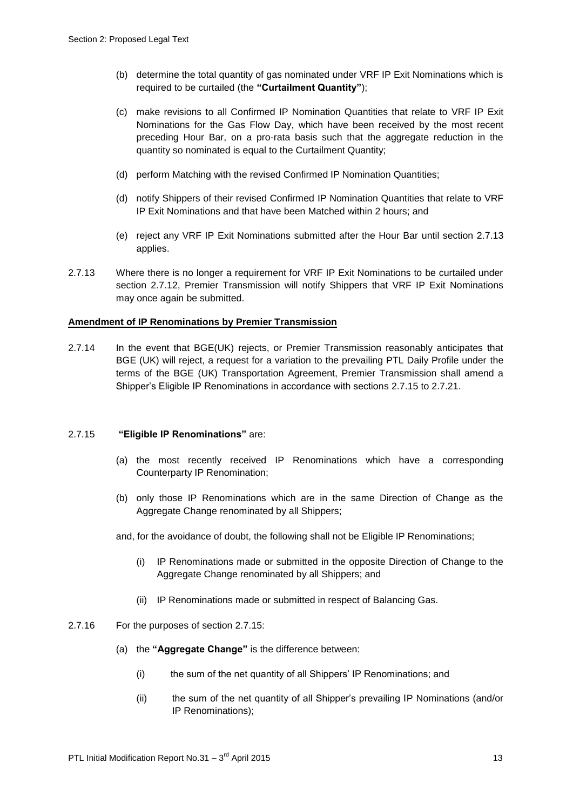- (b) determine the total quantity of gas nominated under VRF IP Exit Nominations which is required to be curtailed (the **"Curtailment Quantity"**);
- (c) make revisions to all Confirmed IP Nomination Quantities that relate to VRF IP Exit Nominations for the Gas Flow Day, which have been received by the most recent preceding Hour Bar, on a pro-rata basis such that the aggregate reduction in the quantity so nominated is equal to the Curtailment Quantity;
- (d) perform Matching with the revised Confirmed IP Nomination Quantities;
- (d) notify Shippers of their revised Confirmed IP Nomination Quantities that relate to VRF IP Exit Nominations and that have been Matched within 2 hours; and
- (e) reject any VRF IP Exit Nominations submitted after the Hour Bar until section 2.7.13 applies.
- 2.7.13 Where there is no longer a requirement for VRF IP Exit Nominations to be curtailed under section 2.7.12, Premier Transmission will notify Shippers that VRF IP Exit Nominations may once again be submitted.

#### **Amendment of IP Renominations by Premier Transmission**

2.7.14 In the event that BGE(UK) rejects, or Premier Transmission reasonably anticipates that BGE (UK) will reject, a request for a variation to the prevailing PTL Daily Profile under the terms of the BGE (UK) Transportation Agreement, Premier Transmission shall amend a Shipper's Eligible IP Renominations in accordance with sections 2.7.15 to 2.7.21.

#### 2.7.15 **"Eligible IP Renominations"** are:

- (a) the most recently received IP Renominations which have a corresponding Counterparty IP Renomination;
- (b) only those IP Renominations which are in the same Direction of Change as the Aggregate Change renominated by all Shippers;

and, for the avoidance of doubt, the following shall not be Eligible IP Renominations;

- (i) IP Renominations made or submitted in the opposite Direction of Change to the Aggregate Change renominated by all Shippers; and
- (ii) IP Renominations made or submitted in respect of Balancing Gas.
- 2.7.16 For the purposes of section 2.7.15:
	- (a) the **"Aggregate Change"** is the difference between:
		- (i) the sum of the net quantity of all Shippers' IP Renominations; and
		- (ii) the sum of the net quantity of all Shipper's prevailing IP Nominations (and/or IP Renominations);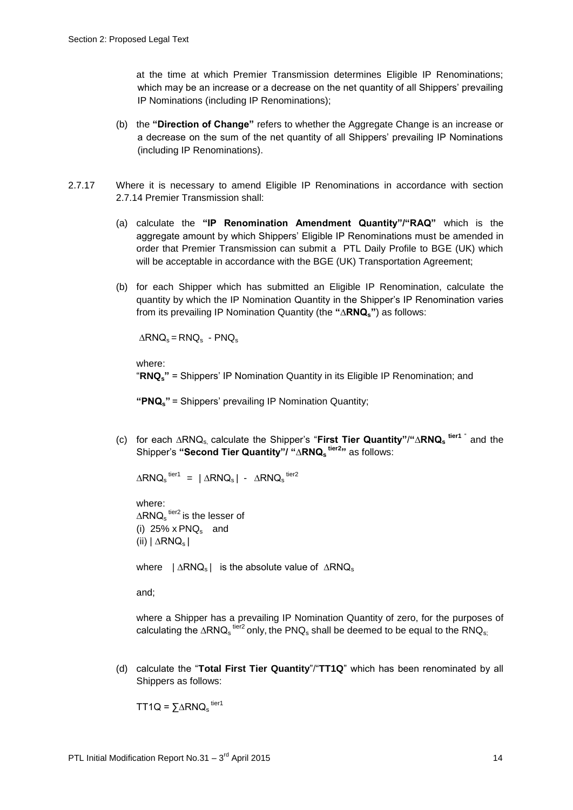at the time at which Premier Transmission determines Eligible IP Renominations; which may be an increase or a decrease on the net quantity of all Shippers' prevailing IP Nominations (including IP Renominations);

- (b) the **"Direction of Change"** refers to whether the Aggregate Change is an increase or a decrease on the sum of the net quantity of all Shippers' prevailing IP Nominations (including IP Renominations).
- 2.7.17 Where it is necessary to amend Eligible IP Renominations in accordance with section 2.7.14 Premier Transmission shall:
	- (a) calculate the **"IP Renomination Amendment Quantity"/"RAQ"** which is the aggregate amount by which Shippers' Eligible IP Renominations must be amended in order that Premier Transmission can submit a PTL Daily Profile to BGE (UK) which will be acceptable in accordance with the BGE (UK) Transportation Agreement;
	- (b) for each Shipper which has submitted an Eligible IP Renomination, calculate the quantity by which the IP Nomination Quantity in the Shipper's IP Renomination varies from its prevailing IP Nomination Quantity (the **"∆RNQs"**) as follows:

 $\triangle$ RNQ<sub>s</sub> = RNQ<sub>s</sub> - PNQ<sub>s</sub>

where:

"**RNQs"** = Shippers' IP Nomination Quantity in its Eligible IP Renomination; and

**"PNQs"** = Shippers' prevailing IP Nomination Quantity;

(c) for each ∆RNQs, calculate the Shipper's "**First Tier Quantity"**/**"∆RNQ<sup>s</sup> tier1** " and the Shipper's **"Second Tier Quantity"/ "∆RNQ<sup>s</sup> tier2"** as follows:

$$
\Delta RNQ_s^{\text{ tier1}} = |\Delta RNQ_s| - \Delta RNQ_s^{\text{ tier2}}
$$

where: ∆RNQ<sub>s</sub><sup>tier2</sup> is the lesser of (i)  $25\% \times P N Q_s$  and (ii)  $|\triangle R N Q_s|$ 

where | ∆RNQ<sub>s</sub>| is the absolute value of ∆RNQ<sub>s</sub>

and;

where a Shipper has a prevailing IP Nomination Quantity of zero, for the purposes of calculating the ∆RNQ<sub>s</sub><sup>tier2</sup> only, the PNQ<sub>s</sub> shall be deemed to be equal to the RNQ<sub>s;</sub>

(d) calculate the "**Total First Tier Quantity**"/"**TT1Q**" which has been renominated by all Shippers as follows:

TT1Q =  $\Sigma \triangle R N Q_s$ <sup>tier1</sup>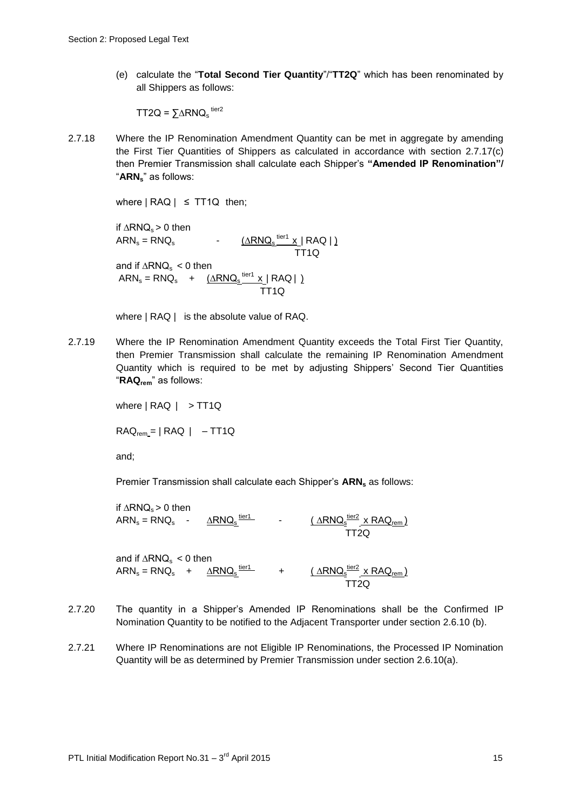(e) calculate the "**Total Second Tier Quantity**"/"**TT2Q**" which has been renominated by all Shippers as follows:

TT2Q =  $\Sigma \triangle R N Q_s$ <sup>tier2</sup>

2.7.18 Where the IP Renomination Amendment Quantity can be met in aggregate by amending the First Tier Quantities of Shippers as calculated in accordance with section 2.7.17(c) then Premier Transmission shall calculate each Shipper's **"Amended IP Renomination"/** "**ARNs**" as follows:

where  $| RAQ | \leq T T 1Q$  then;

if  $∆RNQ_s > 0$  then  $ARN_s = RNQ_s$ -  $(∆RNG<sub>s</sub> <sup>tier1</sup> × | RAG | )$ TT<sub>1Q</sub> and if  $\triangle RNQ_s < 0$  then  $\textsf{ARN}_\text{s} = \textsf{R} \textsf{N} \textsf{Q}_\text{s} \quad + \quad \underbrace{\textsf{(\Delta} \textsf{R} \textsf{N} \textsf{Q}_\text{s} \textsf{P}^{\textsf{iter1}} \textsf{X} } \mid \textsf{R} \textsf{A} \textsf{Q} \mid \textsf{R}$ TT1Q

where  $| RAQ |$  is the absolute value of RAQ.

2.7.19 Where the IP Renomination Amendment Quantity exceeds the Total First Tier Quantity, then Premier Transmission shall calculate the remaining IP Renomination Amendment Quantity which is required to be met by adjusting Shippers' Second Tier Quantities "**RAQrem**" as follows:

where | RAQ | > TT1Q

 $RAQ_{rem} = | RAQ | -TT1Q$ 

and;

Premier Transmission shall calculate each Shipper's **ARN<sup>s</sup>** as follows:

tier1

if  $\triangle$ RNQ $\le$  > 0 then  $ARN_s = RNQ_s$ 

 - ∆RNQ<sup>s</sup>  $\frac{(\triangle R N Q_s^{\text{tier2}} \times R A Q_{\text{rem}})}{(\triangle R N Q_s^{\text{iter2}} \times R A Q_{\text{rem}})}$ TT2Q

and if  $\triangle$ RNQ<sub>s</sub> < 0 then  $ARN_s = RNQ_s$  $\underline{\Delta RNQ_s}^{\text{tier1}}$  $\frac{\text{tier1}}{\text{ }}$  +  $\frac{(\triangle R N Q_s^{\text{tier2}} \times R A Q_{\text{rem}})}{\text{ }}$ TT2Q

- 2.7.20 The quantity in a Shipper's Amended IP Renominations shall be the Confirmed IP Nomination Quantity to be notified to the Adjacent Transporter under section 2.6.10 (b).
- 2.7.21 Where IP Renominations are not Eligible IP Renominations, the Processed IP Nomination Quantity will be as determined by Premier Transmission under section 2.6.10(a).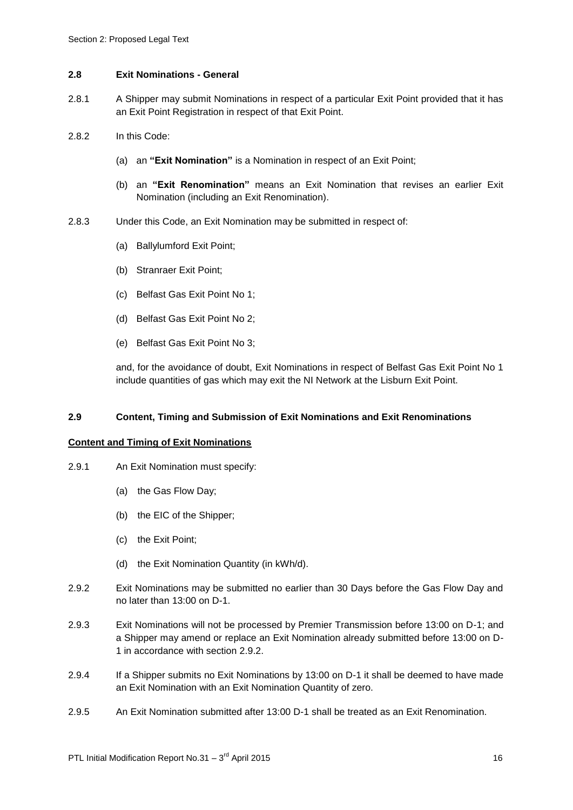#### **2.8 Exit Nominations - General**

- 2.8.1 A Shipper may submit Nominations in respect of a particular Exit Point provided that it has an Exit Point Registration in respect of that Exit Point.
- 2.8.2 In this Code:
	- (a) an **"Exit Nomination"** is a Nomination in respect of an Exit Point;
	- (b) an **"Exit Renomination"** means an Exit Nomination that revises an earlier Exit Nomination (including an Exit Renomination).
- 2.8.3 Under this Code, an Exit Nomination may be submitted in respect of:
	- (a) Ballylumford Exit Point;
	- (b) Stranraer Exit Point;
	- (c) Belfast Gas Exit Point No 1;
	- (d) Belfast Gas Exit Point No 2;
	- (e) Belfast Gas Exit Point No 3;

and, for the avoidance of doubt, Exit Nominations in respect of Belfast Gas Exit Point No 1 include quantities of gas which may exit the NI Network at the Lisburn Exit Point.

#### **2.9 Content, Timing and Submission of Exit Nominations and Exit Renominations**

#### **Content and Timing of Exit Nominations**

- 2.9.1 An Exit Nomination must specify:
	- (a) the Gas Flow Day;
	- (b) the EIC of the Shipper;
	- (c) the Exit Point;
	- (d) the Exit Nomination Quantity (in kWh/d).
- 2.9.2 Exit Nominations may be submitted no earlier than 30 Days before the Gas Flow Day and no later than 13:00 on D-1.
- 2.9.3 Exit Nominations will not be processed by Premier Transmission before 13:00 on D-1; and a Shipper may amend or replace an Exit Nomination already submitted before 13:00 on D-1 in accordance with section 2.9.2.
- 2.9.4 If a Shipper submits no Exit Nominations by 13:00 on D-1 it shall be deemed to have made an Exit Nomination with an Exit Nomination Quantity of zero.
- 2.9.5 An Exit Nomination submitted after 13:00 D-1 shall be treated as an Exit Renomination.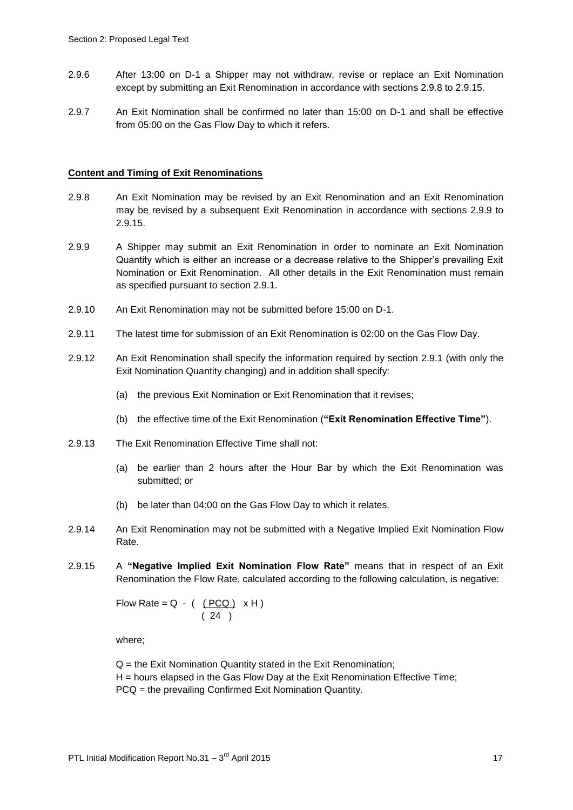- 2.9.6 After 13:00 on D-1 a Shipper may not withdraw, revise or replace an Exit Nomination except by submitting an Exit Renomination in accordance with sections 2.9.8 to 2.9.15.
- 2.9.7 An Exit Nomination shall be confirmed no later than 15:00 on D-1 and shall be effective from 05:00 on the Gas Flow Day to which it refers.

#### **Content and Timing of Exit Renominations**

- 2.9.8 An Exit Nomination may be revised by an Exit Renomination and an Exit Renomination may be revised by a subsequent Exit Renomination in accordance with sections 2.9.9 to 2.9.15.
- 2.9.9 A Shipper may submit an Exit Renomination in order to nominate an Exit Nomination Quantity which is either an increase or a decrease relative to the Shipper's prevailing Exit Nomination or Exit Renomination. All other details in the Exit Renomination must remain as specified pursuant to section 2.9.1.
- 2.9.10 An Exit Renomination may not be submitted before 15:00 on D-1.
- 2.9.11 The latest time for submission of an Exit Renomination is 02:00 on the Gas Flow Day.
- 2.9.12 An Exit Renomination shall specify the information required by section 2.9.1 (with only the Exit Nomination Quantity changing) and in addition shall specify:
	- (a) the previous Exit Nomination or Exit Renomination that it revises;
	- (b) the effective time of the Exit Renomination (**"Exit Renomination Effective Time"**).
- 2.9.13 The Exit Renomination Effective Time shall not:
	- (a) be earlier than 2 hours after the Hour Bar by which the Exit Renomination was submitted; or
	- (b) be later than 04:00 on the Gas Flow Day to which it relates.
- 2.9.14 An Exit Renomination may not be submitted with a Negative Implied Exit Nomination Flow Rate.
- 2.9.15 A **"Negative Implied Exit Nomination Flow Rate"** means that in respect of an Exit Renomination the Flow Rate, calculated according to the following calculation, is negative:

Flow Rate =  $Q - (PCQ) \times H$  $(24)$ 

where;

 $Q =$  the Exit Nomination Quantity stated in the Exit Renomination; H = hours elapsed in the Gas Flow Day at the Exit Renomination Effective Time; PCQ = the prevailing Confirmed Exit Nomination Quantity.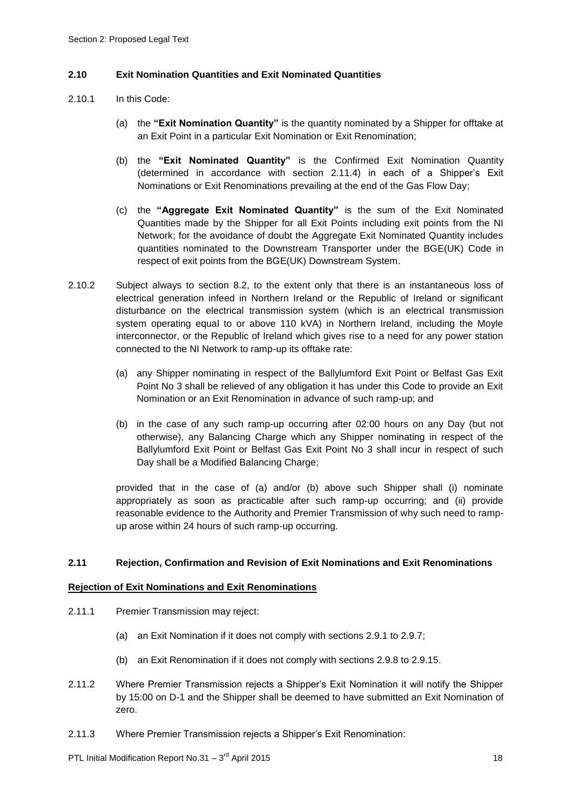#### **2.10 Exit Nomination Quantities and Exit Nominated Quantities**

- 2.10.1 In this Code:
	- (a) the **"Exit Nomination Quantity"** is the quantity nominated by a Shipper for offtake at an Exit Point in a particular Exit Nomination or Exit Renomination;
	- (b) the **"Exit Nominated Quantity"** is the Confirmed Exit Nomination Quantity (determined in accordance with section 2.11.4) in each of a Shipper's Exit Nominations or Exit Renominations prevailing at the end of the Gas Flow Day;
	- (c) the **"Aggregate Exit Nominated Quantity"** is the sum of the Exit Nominated Quantities made by the Shipper for all Exit Points including exit points from the NI Network; for the avoidance of doubt the Aggregate Exit Nominated Quantity includes quantities nominated to the Downstream Transporter under the BGE(UK) Code in respect of exit points from the BGE(UK) Downstream System.
- 2.10.2 Subject always to section 8.2, to the extent only that there is an instantaneous loss of electrical generation infeed in Northern Ireland or the Republic of Ireland or significant disturbance on the electrical transmission system (which is an electrical transmission system operating equal to or above 110 kVA) in Northern Ireland, including the Moyle interconnector, or the Republic of Ireland which gives rise to a need for any power station connected to the NI Network to ramp-up its offtake rate:
	- (a) any Shipper nominating in respect of the Ballylumford Exit Point or Belfast Gas Exit Point No 3 shall be relieved of any obligation it has under this Code to provide an Exit Nomination or an Exit Renomination in advance of such ramp-up; and
	- (b) in the case of any such ramp-up occurring after 02:00 hours on any Day (but not otherwise), any Balancing Charge which any Shipper nominating in respect of the Ballylumford Exit Point or Belfast Gas Exit Point No 3 shall incur in respect of such Day shall be a Modified Balancing Charge;

provided that in the case of (a) and/or (b) above such Shipper shall (i) nominate appropriately as soon as practicable after such ramp-up occurring; and (ii) provide reasonable evidence to the Authority and Premier Transmission of why such need to rampup arose within 24 hours of such ramp-up occurring.

#### **2.11 Rejection, Confirmation and Revision of Exit Nominations and Exit Renominations**

#### **Rejection of Exit Nominations and Exit Renominations**

- 2.11.1 Premier Transmission may reject:
	- (a) an Exit Nomination if it does not comply with sections 2.9.1 to 2.9.7;
	- (b) an Exit Renomination if it does not comply with sections 2.9.8 to 2.9.15.
- 2.11.2 Where Premier Transmission rejects a Shipper's Exit Nomination it will notify the Shipper by 15:00 on D-1 and the Shipper shall be deemed to have submitted an Exit Nomination of zero.
- 2.11.3 Where Premier Transmission rejects a Shipper's Exit Renomination: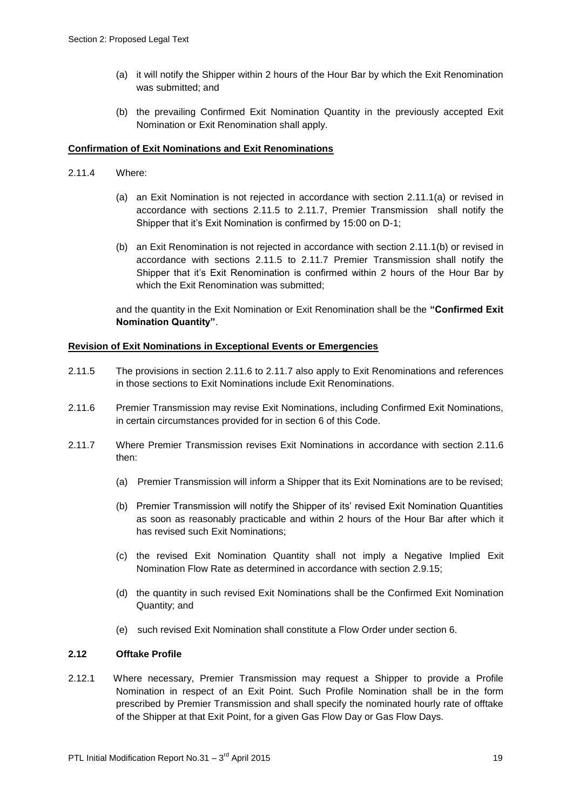- (a) it will notify the Shipper within 2 hours of the Hour Bar by which the Exit Renomination was submitted; and
- (b) the prevailing Confirmed Exit Nomination Quantity in the previously accepted Exit Nomination or Exit Renomination shall apply.

#### **Confirmation of Exit Nominations and Exit Renominations**

- 2.11.4 Where:
	- (a) an Exit Nomination is not rejected in accordance with section 2.11.1(a) or revised in accordance with sections 2.11.5 to 2.11.7, Premier Transmission shall notify the Shipper that it's Exit Nomination is confirmed by 15:00 on D-1;
	- (b) an Exit Renomination is not rejected in accordance with section 2.11.1(b) or revised in accordance with sections 2.11.5 to 2.11.7 Premier Transmission shall notify the Shipper that it's Exit Renomination is confirmed within 2 hours of the Hour Bar by which the Exit Renomination was submitted;

and the quantity in the Exit Nomination or Exit Renomination shall be the **"Confirmed Exit Nomination Quantity"**.

#### **Revision of Exit Nominations in Exceptional Events or Emergencies**

- 2.11.5 The provisions in section 2.11.6 to 2.11.7 also apply to Exit Renominations and references in those sections to Exit Nominations include Exit Renominations.
- 2.11.6 Premier Transmission may revise Exit Nominations, including Confirmed Exit Nominations, in certain circumstances provided for in section 6 of this Code.
- 2.11.7 Where Premier Transmission revises Exit Nominations in accordance with section 2.11.6 then:
	- (a) Premier Transmission will inform a Shipper that its Exit Nominations are to be revised;
	- (b) Premier Transmission will notify the Shipper of its' revised Exit Nomination Quantities as soon as reasonably practicable and within 2 hours of the Hour Bar after which it has revised such Exit Nominations;
	- (c) the revised Exit Nomination Quantity shall not imply a Negative Implied Exit Nomination Flow Rate as determined in accordance with section 2.9.15;
	- (d) the quantity in such revised Exit Nominations shall be the Confirmed Exit Nomination Quantity; and
	- (e) such revised Exit Nomination shall constitute a Flow Order under section 6.

#### **2.12 Offtake Profile**

2.12.1 Where necessary, Premier Transmission may request a Shipper to provide a Profile Nomination in respect of an Exit Point. Such Profile Nomination shall be in the form prescribed by Premier Transmission and shall specify the nominated hourly rate of offtake of the Shipper at that Exit Point, for a given Gas Flow Day or Gas Flow Days.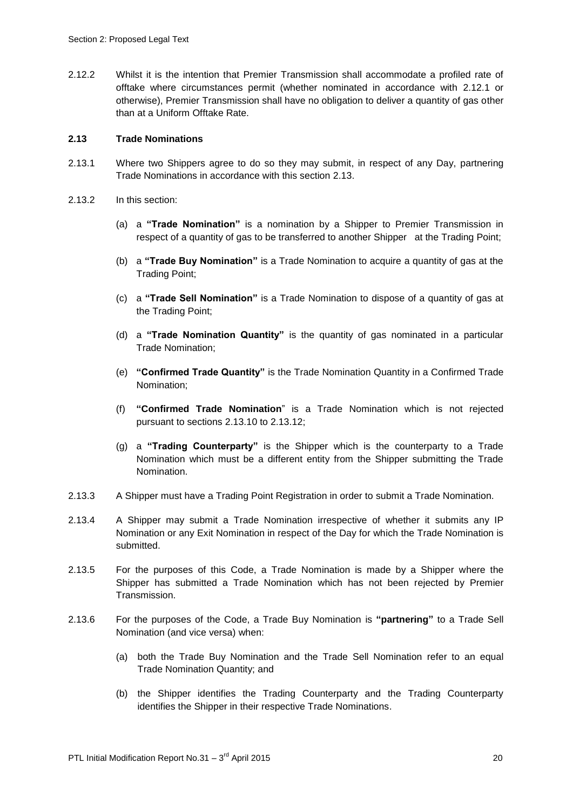2.12.2 Whilst it is the intention that Premier Transmission shall accommodate a profiled rate of offtake where circumstances permit (whether nominated in accordance with 2.12.1 or otherwise), Premier Transmission shall have no obligation to deliver a quantity of gas other than at a Uniform Offtake Rate.

#### **2.13 Trade Nominations**

- 2.13.1 Where two Shippers agree to do so they may submit, in respect of any Day, partnering Trade Nominations in accordance with this section 2.13.
- 2.13.2 In this section:
	- (a) a **"Trade Nomination"** is a nomination by a Shipper to Premier Transmission in respect of a quantity of gas to be transferred to another Shipper at the Trading Point;
	- (b) a **"Trade Buy Nomination"** is a Trade Nomination to acquire a quantity of gas at the Trading Point;
	- (c) a **"Trade Sell Nomination"** is a Trade Nomination to dispose of a quantity of gas at the Trading Point;
	- (d) a **"Trade Nomination Quantity"** is the quantity of gas nominated in a particular Trade Nomination;
	- (e) **"Confirmed Trade Quantity"** is the Trade Nomination Quantity in a Confirmed Trade Nomination;
	- (f) **"Confirmed Trade Nomination**" is a Trade Nomination which is not rejected pursuant to sections 2.13.10 to 2.13.12;
	- (g) a **"Trading Counterparty"** is the Shipper which is the counterparty to a Trade Nomination which must be a different entity from the Shipper submitting the Trade Nomination.
- 2.13.3 A Shipper must have a Trading Point Registration in order to submit a Trade Nomination.
- 2.13.4 A Shipper may submit a Trade Nomination irrespective of whether it submits any IP Nomination or any Exit Nomination in respect of the Day for which the Trade Nomination is submitted.
- 2.13.5 For the purposes of this Code, a Trade Nomination is made by a Shipper where the Shipper has submitted a Trade Nomination which has not been rejected by Premier Transmission.
- 2.13.6 For the purposes of the Code, a Trade Buy Nomination is **"partnering"** to a Trade Sell Nomination (and vice versa) when:
	- (a) both the Trade Buy Nomination and the Trade Sell Nomination refer to an equal Trade Nomination Quantity; and
	- (b) the Shipper identifies the Trading Counterparty and the Trading Counterparty identifies the Shipper in their respective Trade Nominations.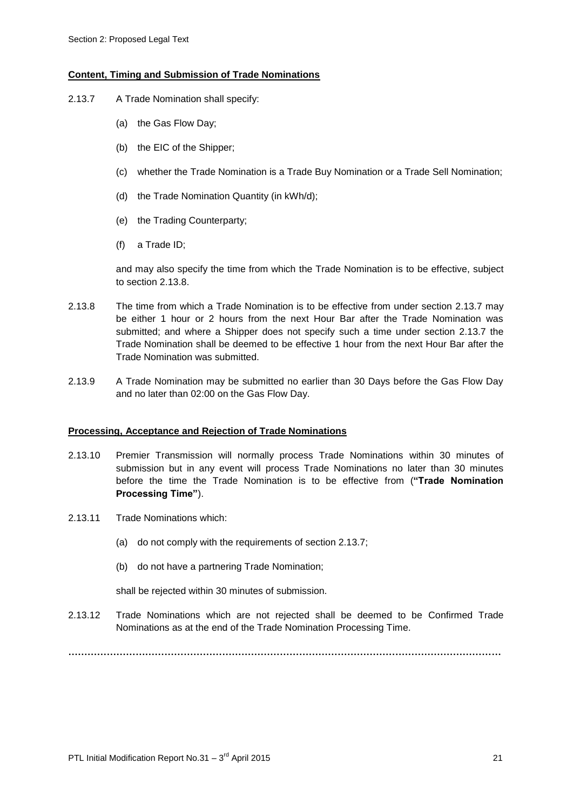#### **Content, Timing and Submission of Trade Nominations**

- 2.13.7 A Trade Nomination shall specify:
	- (a) the Gas Flow Day;
	- (b) the EIC of the Shipper;
	- (c) whether the Trade Nomination is a Trade Buy Nomination or a Trade Sell Nomination;
	- (d) the Trade Nomination Quantity (in kWh/d);
	- (e) the Trading Counterparty;
	- (f) a Trade ID;

and may also specify the time from which the Trade Nomination is to be effective, subject to section 2.13.8

- 2.13.8 The time from which a Trade Nomination is to be effective from under section 2.13.7 may be either 1 hour or 2 hours from the next Hour Bar after the Trade Nomination was submitted; and where a Shipper does not specify such a time under section 2.13.7 the Trade Nomination shall be deemed to be effective 1 hour from the next Hour Bar after the Trade Nomination was submitted.
- 2.13.9 A Trade Nomination may be submitted no earlier than 30 Days before the Gas Flow Day and no later than 02:00 on the Gas Flow Day.

#### **Processing, Acceptance and Rejection of Trade Nominations**

- 2.13.10 Premier Transmission will normally process Trade Nominations within 30 minutes of submission but in any event will process Trade Nominations no later than 30 minutes before the time the Trade Nomination is to be effective from (**"Trade Nomination Processing Time"**).
- 2.13.11 Trade Nominations which:
	- (a) do not comply with the requirements of section 2.13.7;
	- (b) do not have a partnering Trade Nomination;

shall be rejected within 30 minutes of submission.

2.13.12 Trade Nominations which are not rejected shall be deemed to be Confirmed Trade Nominations as at the end of the Trade Nomination Processing Time.

**………………………………………………………………………………………………………………………**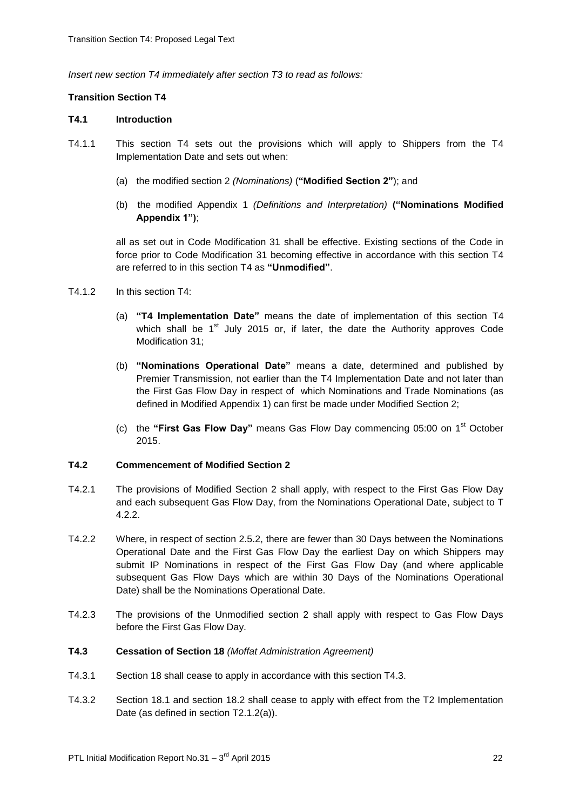*Insert new section T4 immediately after section T3 to read as follows:*

#### **Transition Section T4**

#### **T4.1 Introduction**

- T4.1.1 This section T4 sets out the provisions which will apply to Shippers from the T4 Implementation Date and sets out when:
	- (a) the modified section 2 *(Nominations)* (**"Modified Section 2"**); and
	- (b) the modified Appendix 1 *(Definitions and Interpretation)* **("Nominations Modified Appendix 1")**;

all as set out in Code Modification 31 shall be effective. Existing sections of the Code in force prior to Code Modification 31 becoming effective in accordance with this section T4 are referred to in this section T4 as **"Unmodified"**.

- $T4.1.2$  In this section  $T4$ 
	- (a) **"T4 Implementation Date"** means the date of implementation of this section T4 which shall be  $1<sup>st</sup>$  July 2015 or, if later, the date the Authority approves Code Modification 31;
	- (b) **"Nominations Operational Date"** means a date, determined and published by Premier Transmission, not earlier than the T4 Implementation Date and not later than the First Gas Flow Day in respect of which Nominations and Trade Nominations (as defined in Modified Appendix 1) can first be made under Modified Section 2;
	- (c) the **"First Gas Flow Day"** means Gas Flow Day commencing 05:00 on 1st October 2015.

#### **T4.2 Commencement of Modified Section 2**

- T4.2.1 The provisions of Modified Section 2 shall apply, with respect to the First Gas Flow Day and each subsequent Gas Flow Day, from the Nominations Operational Date, subject to T 4.2.2.
- T4.2.2 Where, in respect of section 2.5.2, there are fewer than 30 Days between the Nominations Operational Date and the First Gas Flow Day the earliest Day on which Shippers may submit IP Nominations in respect of the First Gas Flow Day (and where applicable subsequent Gas Flow Days which are within 30 Days of the Nominations Operational Date) shall be the Nominations Operational Date.
- T4.2.3 The provisions of the Unmodified section 2 shall apply with respect to Gas Flow Days before the First Gas Flow Day.
- **T4.3 Cessation of Section 18** *(Moffat Administration Agreement)*
- T4.3.1 Section 18 shall cease to apply in accordance with this section T4.3.
- T4.3.2 Section 18.1 and section 18.2 shall cease to apply with effect from the T2 Implementation Date (as defined in section T2.1.2(a)).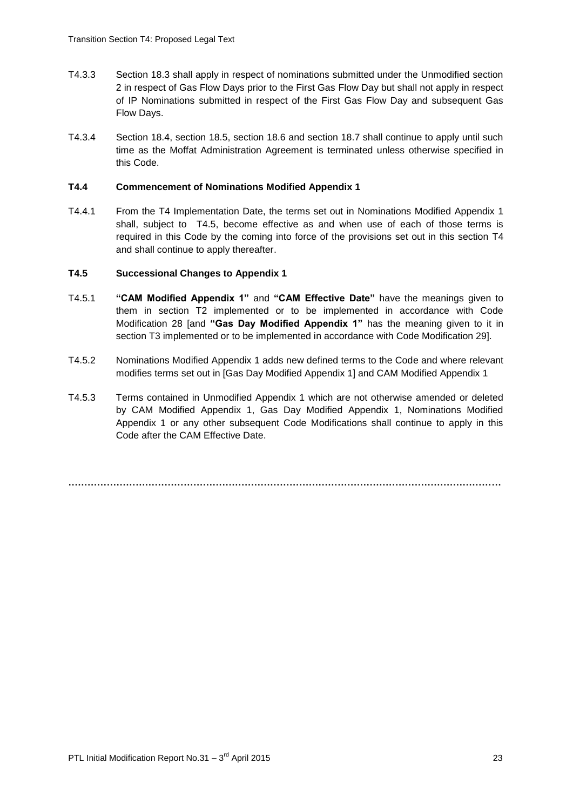- T4.3.3 Section 18.3 shall apply in respect of nominations submitted under the Unmodified section 2 in respect of Gas Flow Days prior to the First Gas Flow Day but shall not apply in respect of IP Nominations submitted in respect of the First Gas Flow Day and subsequent Gas Flow Days.
- T4.3.4 Section 18.4, section 18.5, section 18.6 and section 18.7 shall continue to apply until such time as the Moffat Administration Agreement is terminated unless otherwise specified in this Code.

#### **T4.4 Commencement of Nominations Modified Appendix 1**

T4.4.1 From the T4 Implementation Date, the terms set out in Nominations Modified Appendix 1 shall, subject to T4.5, become effective as and when use of each of those terms is required in this Code by the coming into force of the provisions set out in this section T4 and shall continue to apply thereafter.

#### **T4.5 Successional Changes to Appendix 1**

- T4.5.1 **"CAM Modified Appendix 1"** and **"CAM Effective Date"** have the meanings given to them in section T2 implemented or to be implemented in accordance with Code Modification 28 [and **"Gas Day Modified Appendix 1"** has the meaning given to it in section T3 implemented or to be implemented in accordance with Code Modification 29].
- T4.5.2 Nominations Modified Appendix 1 adds new defined terms to the Code and where relevant modifies terms set out in [Gas Day Modified Appendix 1] and CAM Modified Appendix 1
- T4.5.3 Terms contained in Unmodified Appendix 1 which are not otherwise amended or deleted by CAM Modified Appendix 1, Gas Day Modified Appendix 1, Nominations Modified Appendix 1 or any other subsequent Code Modifications shall continue to apply in this Code after the CAM Effective Date.

**………………………………………………………………………………………………………………………**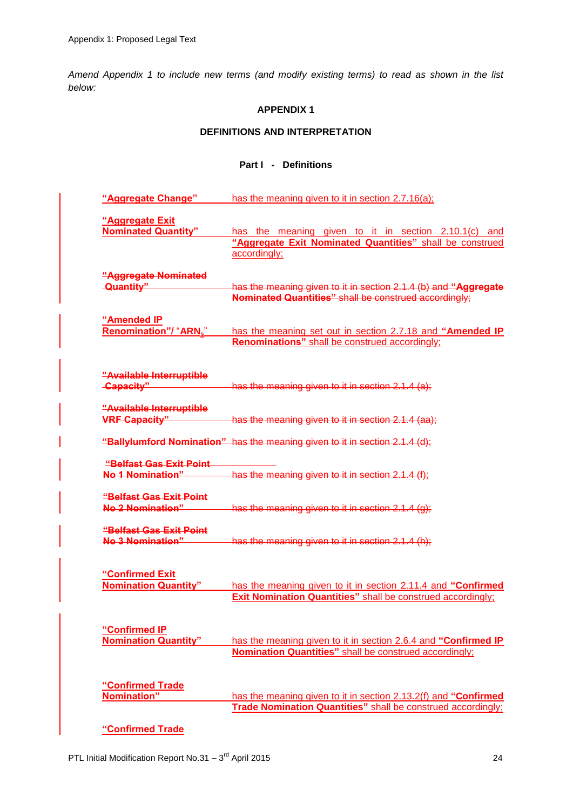*Amend Appendix 1 to include new terms (and modify existing terms) to read as shown in the list below:*

#### **APPENDIX 1**

# **DEFINITIONS AND INTERPRETATION**

# **Part I - Definitions**

| "Aggregate Change"                                  | has the meaning given to it in section 2.7.16(a);                                                                                  |
|-----------------------------------------------------|------------------------------------------------------------------------------------------------------------------------------------|
| "Aggregate Exit<br><b>Nominated Quantity"</b>       | has the meaning given to it in section 2.10.1(c) and<br>"Aggregate Exit Nominated Quantities" shall be construed<br>accordingly;   |
| "Aggregate Nominated<br>-Quantity"                  | has the meaning given to it in section 2.1.4 (b) and "Aggregate<br>Nominated Quantities" shall be construed accordingly;           |
| "Amended IP<br><b>Renomination"/ "ARNs"</b>         | has the meaning set out in section 2.7.18 and "Amended IP<br><b>Renominations"</b> shall be construed accordingly;                 |
| "Available Interruptible<br>-Capacity"              | has the meaning given to it in section 2.1.4 (a);                                                                                  |
| "Available Interruptible<br><b>VRF Capacity"</b>    | has the meaning given to it in section 2.1.4 (aa);                                                                                 |
|                                                     | "Ballylumford Nomination" has the meaning given to it in section 2.1.4 (d);                                                        |
| "Belfast Gas Exit Point<br><b>No.1 Nomination"</b>  | has the meaning given to it in section 2.1.4 (f);                                                                                  |
| "Belfast Gas Exit Point<br>No 2 Nomination"         | has the meaning given to it in section $2.1.4$ (g);                                                                                |
| <u> "Belfast Gas Exit Point</u><br>No.3 Nomination" | has the meaning given to it in section 2.1.4 (h);                                                                                  |
| "Confirmed Exit<br><b>Nomination Quantity"</b>      | has the meaning given to it in section 2.11.4 and "Confirmed<br><b>Exit Nomination Quantities"</b> shall be construed accordingly; |
| "Confirmed IP<br><b>Nomination Quantity"</b>        | has the meaning given to it in section 2.6.4 and "Confirmed IP<br><b>Nomination Quantities"</b> shall be construed accordingly;    |
| "Confirmed Trade<br>Nomination"                     | has the meaning given to it in section 2.13.2(f) and "Confirmed<br>Trade Nomination Quantities" shall be construed accordingly;    |
| "Confirmed Trade                                    |                                                                                                                                    |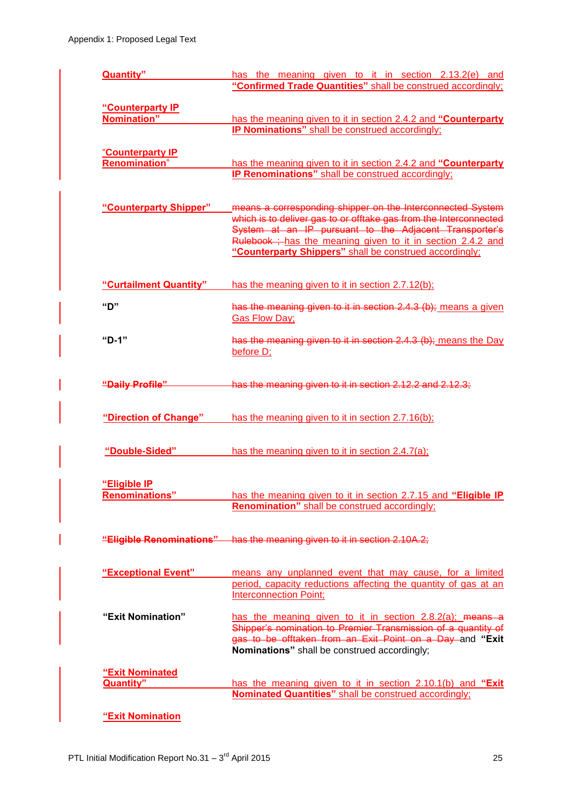| Quantity"              | has the meaning given to it in section 2.13.2(e) and<br>"Confirmed Trade Quantities" shall be construed accordingly;            |
|------------------------|---------------------------------------------------------------------------------------------------------------------------------|
|                        |                                                                                                                                 |
| "Counterparty IP       |                                                                                                                                 |
| Nomination"            | has the meaning given to it in section 2.4.2 and "Counterparty                                                                  |
|                        | IP Nominations" shall be construed accordingly;                                                                                 |
| "Counterparty IP       |                                                                                                                                 |
| <b>Renomination</b> "  | has the meaning given to it in section 2.4.2 and "Counterparty                                                                  |
|                        | <b>IP Renominations"</b> shall be construed accordingly;                                                                        |
|                        |                                                                                                                                 |
|                        |                                                                                                                                 |
| "Counterparty Shipper" | means a corresponding shipper on the Interconnected System<br>which is to deliver gas to or offtake gas from the Interconnected |
|                        | System at an IP pursuant to the Adjacent Transporter's                                                                          |
|                        | Rulebook ; has the meaning given to it in section 2.4.2 and                                                                     |
|                        | "Counterparty Shippers" shall be construed accordingly;                                                                         |
|                        |                                                                                                                                 |
| "Curtailment Quantity" | has the meaning given to it in section 2.7.12(b);                                                                               |
| "ט"                    | has the meaning given to it in section 2.4.3 (b); means a given                                                                 |
|                        | <b>Gas Flow Day;</b>                                                                                                            |
|                        |                                                                                                                                 |
| "D-1"                  | has the meaning given to it in section 2.4.3 (b); means the Day<br>before D;                                                    |
|                        |                                                                                                                                 |
|                        |                                                                                                                                 |
| "Daily Profile"        | has the meaning given to it in section 2.12.2 and 2.12.3;                                                                       |
|                        |                                                                                                                                 |
| "Direction of Change"  | has the meaning given to it in section 2.7.16(b);                                                                               |
|                        |                                                                                                                                 |
| "Double-Sided"         | has the meaning given to it in section 2.4.7(a);                                                                                |
|                        |                                                                                                                                 |
| "Eligible IP           |                                                                                                                                 |
| <b>Renominations"</b>  | has the meaning given to it in section 2.7.15 and "Eligible IP                                                                  |
|                        | <b>Renomination"</b> shall be construed accordingly;                                                                            |
|                        |                                                                                                                                 |
|                        | "Eligible Renominations" has the meaning given to it in section 2.10A.2;                                                        |
|                        |                                                                                                                                 |
| "Exceptional Event"    | means any unplanned event that may cause, for a limited                                                                         |
|                        | period, capacity reductions affecting the quantity of gas at an                                                                 |
|                        | <b>Interconnection Point;</b>                                                                                                   |
| "Exit Nomination"      | has the meaning given to it in section $2.8.2(a)$ ; means a                                                                     |
|                        | Shipper's nomination to Premier Transmission of a quantity of                                                                   |
|                        | gas to be offtaken from an Exit Point on a Day and "Exit                                                                        |
|                        | Nominations" shall be construed accordingly;                                                                                    |
| "Exit Nominated        |                                                                                                                                 |
| <b>Quantity"</b>       | has the meaning given to it in section 2.10.1(b) and "Exit                                                                      |
|                        | Nominated Quantities" shall be construed accordingly;                                                                           |
|                        |                                                                                                                                 |
| "Exit Nomination       |                                                                                                                                 |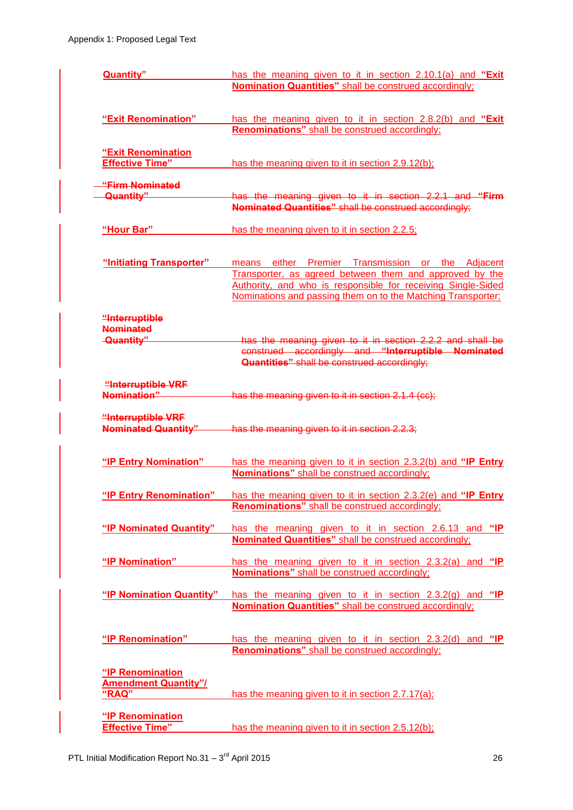| Quantity"                                        | has the meaning given to it in section 2.10.1(a) and "Exit<br><b>Nomination Quantities"</b> shall be construed accordingly; |
|--------------------------------------------------|-----------------------------------------------------------------------------------------------------------------------------|
|                                                  |                                                                                                                             |
| "Exit Renomination"                              | has the meaning given to it in section 2.8.2(b) and "Exit<br><b>Renominations"</b> shall be construed accordingly;          |
|                                                  |                                                                                                                             |
| "Exit Renomination<br><b>Effective Time"</b>     | has the meaning given to it in section 2.9.12(b);                                                                           |
| "Firm Nominated                                  |                                                                                                                             |
| Quantity"                                        | has the meaning given to it in section 2.2.1 and "Firm<br>Nominated Quantities" shall be construed accordingly;             |
| "Hour Bar"                                       | has the meaning given to it in section 2.2.5;                                                                               |
| "Initiating Transporter"                         | either Premier Transmission or the Adjacent<br>means                                                                        |
|                                                  | Transporter, as agreed between them and approved by the<br>Authority, and who is responsible for receiving Single-Sided     |
|                                                  | Nominations and passing them on to the Matching Transporter:                                                                |
| "Interruptible<br><b>Nominated</b>               |                                                                                                                             |
| -Quantity"                                       | has the meaning given to it in section 2.2.2 and shall be                                                                   |
|                                                  | construed accordingly and "Interruptible Nominated<br><b>Quantities"</b> shall be construed accordingly;                    |
| "Interruptible VRF<br>Nomination"                |                                                                                                                             |
|                                                  | has the meaning given to it in section 2.1.4 (cc);                                                                          |
| "Interruptible VRF<br><b>Nominated Quantity"</b> | has the meaning given to it in section 2.2.3;                                                                               |
| "IP Entry Nomination"                            | has the meaning given to it in section 2.3.2(b) and "IP Entry                                                               |
|                                                  | <b>Nominations"</b> shall be construed accordingly;                                                                         |
| "IP Entry Renomination"                          | has the meaning given to it in section 2.3.2(e) and "IP Entry                                                               |
|                                                  | Renominations" shall be construed accordingly;                                                                              |
| "IP Nominated Quantity"                          | has the meaning given to it in section 2.6.13 and "IP<br>Nominated Quantities" shall be construed accordingly;              |
| "IP Nomination"                                  | has the meaning given to it in section 2.3.2(a) and "IP                                                                     |
|                                                  | Nominations" shall be construed accordingly;                                                                                |
| "IP Nomination Quantity"                         | has the meaning given to it in section $2.3.2(g)$ and "IP                                                                   |
|                                                  | <b>Nomination Quantities"</b> shall be construed accordingly;                                                               |
| "IP Renomination"                                | has the meaning given to it in section 2.3.2(d) and "IP                                                                     |
|                                                  | <b>Renominations"</b> shall be construed accordingly;                                                                       |
| "IP Renomination                                 |                                                                                                                             |
| <b>Amendment Quantity"/</b><br>"RAQ"             |                                                                                                                             |
|                                                  | has the meaning given to it in section 2.7.17(a);                                                                           |
| "IP Renomination                                 |                                                                                                                             |
| <b>Effective Time"</b>                           | has the meaning given to it in section 2.5.12(b);                                                                           |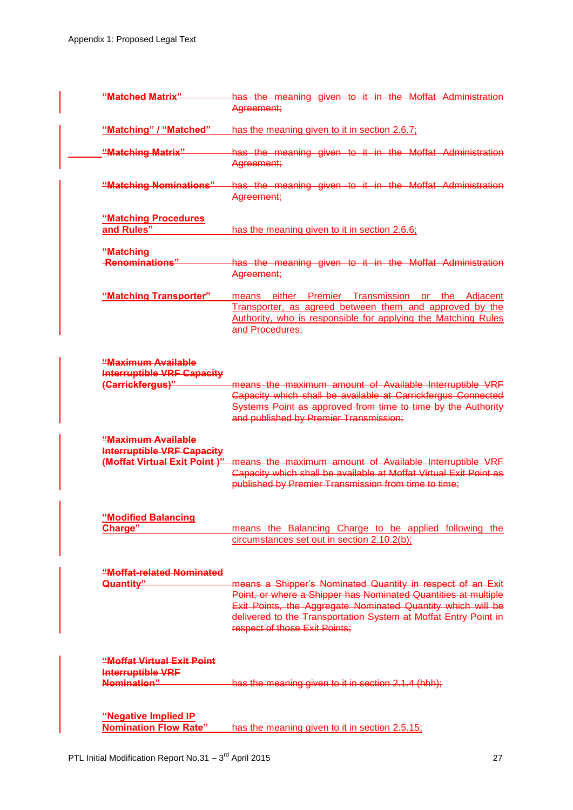| "Matched Matrix"                                                                        | has the meaning given to it in the Moffat Administration<br>Agreement;                                                                                                                                                                                                                          |
|-----------------------------------------------------------------------------------------|-------------------------------------------------------------------------------------------------------------------------------------------------------------------------------------------------------------------------------------------------------------------------------------------------|
| "Matching" / "Matched"                                                                  | has the meaning given to it in section 2.6.7;                                                                                                                                                                                                                                                   |
| "Matching Matrix"                                                                       | has the meaning given to it in the Moffat Administration<br>Agreement;                                                                                                                                                                                                                          |
| "Matching Nominations"                                                                  | has the meaning given to it in the Moffat Administration<br>Agreement;                                                                                                                                                                                                                          |
| "Matching Procedures<br>and Rules"                                                      | has the meaning given to it in section 2.6.6;                                                                                                                                                                                                                                                   |
| "Matching                                                                               |                                                                                                                                                                                                                                                                                                 |
| -Renominations"                                                                         | has the meaning given to it in the Moffat Administration<br>Agreement;                                                                                                                                                                                                                          |
| "Matching Transporter"                                                                  | either Premier Transmission or the Adjacent<br>means<br>Transporter, as agreed between them and approved by the<br>Authority, who is responsible for applying the Matching Rules<br>and Procedures;                                                                                             |
| "Maximum Available<br><b>Interruptible VRF Capacity</b><br>(Carrickfergus)"             | means the maximum amount of Available Interruptible VRF<br>Capacity which shall be available at Carrickfergus Connected<br>Systems Point as approved from time to time by the Authority<br>and published by Premier Transmission;                                                               |
| "Maximum Available<br><b>Interruptible VRF Capacity</b><br>(Moffat Virtual Exit Point)" | means the maximum amount of Available Interruptible VRF<br>Capacity which shall be available at Moffat Virtual Exit Point as<br>published by Premier Transmission from time to time;                                                                                                            |
| "Modified Balancing<br>Charge"                                                          | means the Balancing Charge to be applied following the                                                                                                                                                                                                                                          |
|                                                                                         | circumstances set out in section 2.10.2(b);                                                                                                                                                                                                                                                     |
| "Moffat-related Nominated<br>Quantity"                                                  | means a Shipper's Nominated Quantity in respect of an Exit<br>Point, or where a Shipper has Nominated Quantities at multiple<br>Exit Points, the Aggregate Nominated Quantity which will be<br>delivered to the Transportation System at Moffat Entry Point in<br>respect of those Exit Points; |
| "Moffat Virtual Exit Point<br>Interruptible VRF<br>Nomination"                          | has the meaning given to it in section 2.1.4 (hhh);                                                                                                                                                                                                                                             |
| "Negative Implied IP<br><b>Nomination Flow Rate"</b>                                    | has the meaning given to it in section 2.5.15;                                                                                                                                                                                                                                                  |
|                                                                                         |                                                                                                                                                                                                                                                                                                 |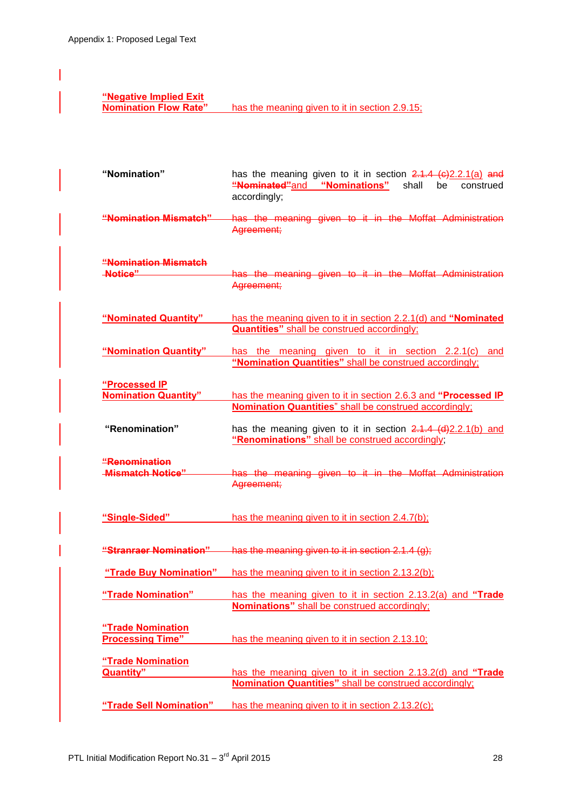# **"Negative Implied Exit**

has the meaning given to it in section 2.9.15;

| "Nomination"                                 | has the meaning given to it in section $2.1.4$ ( $6)2.2.1(a)$ and<br>"Nominated"and "Nominations"<br>shall<br>be<br>construed<br>accordingly; |
|----------------------------------------------|-----------------------------------------------------------------------------------------------------------------------------------------------|
| "Nomination Mismatch"                        | has the meaning given to it in the Moffat Administration<br>Agreement;                                                                        |
| "Nomination Mismatch                         |                                                                                                                                               |
| -Notice"                                     | has the meaning given to it in the Moffat Administration<br>Agreement;                                                                        |
| "Nominated Quantity"                         | has the meaning given to it in section 2.2.1(d) and "Nominated<br><b>Quantities"</b> shall be construed accordingly;                          |
| "Nomination Quantity"                        | has the meaning given to it in section 2.2.1(c) and<br>"Nomination Quantities" shall be construed accordingly;                                |
| "Processed IP                                |                                                                                                                                               |
| <b>Nomination Quantity"</b>                  | has the meaning given to it in section 2.6.3 and "Processed IP<br><b>Nomination Quantities</b> " shall be construed accordingly;              |
| "Renomination"                               | has the meaning given to it in section 2.1.4 (d) 2.2.1(b) and<br>"Renominations" shall be construed accordingly;                              |
| "Renomination<br><b>Mismatch Notice"</b>     | has the meaning given to it in the Moffat Administration<br>Agreement;                                                                        |
| "Single-Sided"                               | has the meaning given to it in section 2.4.7(b);                                                                                              |
|                                              | "Stranraer Nomination" has the meaning given to it in section 2.1.4 (g):                                                                      |
| "Trade Buy Nomination"                       | has the meaning given to it in section 2.13.2(b);                                                                                             |
| "Trade Nomination"                           | has the meaning given to it in section 2.13.2(a) and "Trade<br>Nominations" shall be construed accordingly;                                   |
| "Trade Nomination<br><b>Processing Time"</b> | has the meaning given to it in section 2.13.10;                                                                                               |
| "Trade Nomination<br><b>Quantity</b> "       | has the meaning given to it in section 2.13.2(d) and "Trade<br><b>Nomination Quantities"</b> shall be construed accordingly;                  |
| "Trade Sell Nomination"                      | has the meaning given to it in section 2.13.2(c);                                                                                             |